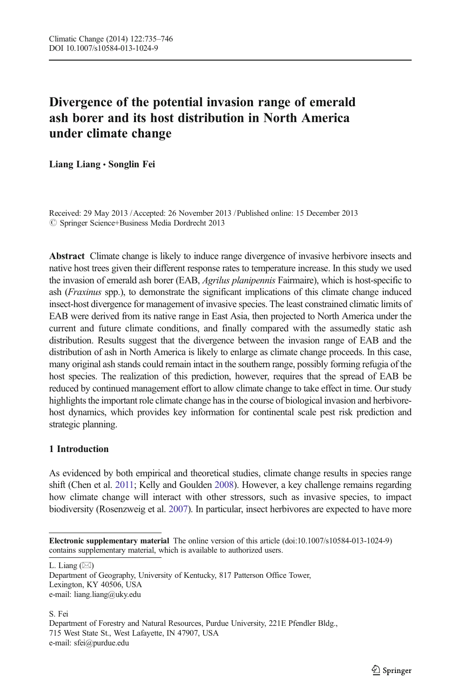# Divergence of the potential invasion range of emerald ash borer and its host distribution in North America under climate change

Liang Liang & Songlin Fei

Received: 29 May 2013 /Accepted: 26 November 2013 / Published online: 15 December 2013 **C** Springer Science+Business Media Dordrecht 2013

Abstract Climate change is likely to induce range divergence of invasive herbivore insects and native host trees given their different response rates to temperature increase. In this study we used the invasion of emerald ash borer (EAB, *Agrilus planipennis* Fairmaire), which is host-specific to ash (Fraxinus spp.), to demonstrate the significant implications of this climate change induced insect-host divergence for management of invasive species. The least constrained climatic limits of EAB were derived from its native range in East Asia, then projected to North America under the current and future climate conditions, and finally compared with the assumedly static ash distribution. Results suggest that the divergence between the invasion range of EAB and the distribution of ash in North America is likely to enlarge as climate change proceeds. In this case, many original ash stands could remain intact in the southern range, possibly forming refugia of the host species. The realization of this prediction, however, requires that the spread of EAB be reduced by continued management effort to allow climate change to take effect in time. Our study highlights the important role climate change has in the course of biological invasion and herbivorehost dynamics, which provides key information for continental scale pest risk prediction and strategic planning.

## 1 Introduction

As evidenced by both empirical and theoretical studies, climate change results in species range shift (Chen et al. [2011;](#page-9-0) Kelly and Goulden [2008\)](#page-10-0). However, a key challenge remains regarding how climate change will interact with other stressors, such as invasive species, to impact biodiversity (Rosenzweig et al. [2007\)](#page-11-0). In particular, insect herbivores are expected to have more

L. Liang  $(\boxtimes)$ 

S. Fei

Electronic supplementary material The online version of this article (doi[:10.1007/s10584-013-1024-9](http://dx.doi.org/10.1007/s10584-013-1024-9)) contains supplementary material, which is available to authorized users.

Department of Geography, University of Kentucky, 817 Patterson Office Tower, Lexington, KY 40506, USA e-mail: liang.liang@uky.edu

Department of Forestry and Natural Resources, Purdue University, 221E Pfendler Bldg., 715 West State St., West Lafayette, IN 47907, USA e-mail: sfei@purdue.edu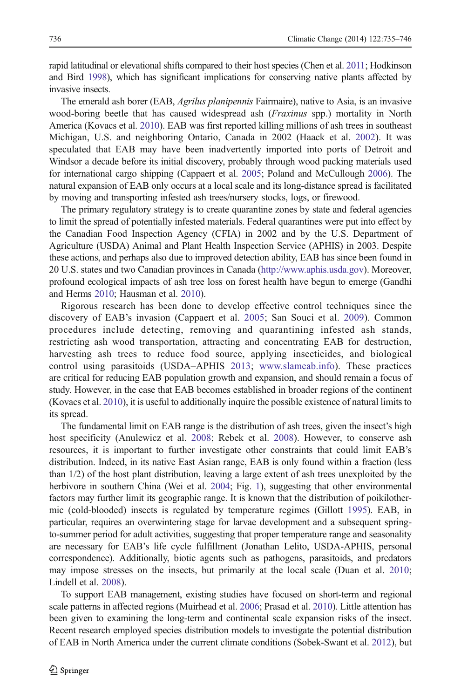rapid latitudinal or elevational shifts compared to their host species (Chen et al. [2011](#page-9-0); Hodkinson and Bird [1998\)](#page-10-0), which has significant implications for conserving native plants affected by invasive insects.

The emerald ash borer (EAB, *Agrilus planipennis* Fairmaire), native to Asia, is an invasive wood-boring beetle that has caused widespread ash (*Fraxinus* spp.) mortality in North America (Kovacs et al. [2010](#page-10-0)). EAB was first reported killing millions of ash trees in southeast Michigan, U.S. and neighboring Ontario, Canada in 2002 (Haack et al. [2002](#page-10-0)). It was speculated that EAB may have been inadvertently imported into ports of Detroit and Windsor a decade before its initial discovery, probably through wood packing materials used for international cargo shipping (Cappaert et al. [2005](#page-9-0); Poland and McCullough [2006\)](#page-11-0). The natural expansion of EAB only occurs at a local scale and its long-distance spread is facilitated by moving and transporting infested ash trees/nursery stocks, logs, or firewood.

The primary regulatory strategy is to create quarantine zones by state and federal agencies to limit the spread of potentially infested materials. Federal quarantines were put into effect by the Canadian Food Inspection Agency (CFIA) in 2002 and by the U.S. Department of Agriculture (USDA) Animal and Plant Health Inspection Service (APHIS) in 2003. Despite these actions, and perhaps also due to improved detection ability, EAB has since been found in 20 U.S. states and two Canadian provinces in Canada ([http://www.aphis.usda.gov\)](http://www.aphis.usda.gov/). Moreover, profound ecological impacts of ash tree loss on forest health have begun to emerge (Gandhi and Herms [2010;](#page-10-0) Hausman et al. [2010](#page-10-0)).

Rigorous research has been done to develop effective control techniques since the discovery of EAB's invasion (Cappaert et al. [2005](#page-9-0); San Souci et al. [2009](#page-11-0)). Common procedures include detecting, removing and quarantining infested ash stands, restricting ash wood transportation, attracting and concentrating EAB for destruction, harvesting ash trees to reduce food source, applying insecticides, and biological control using parasitoids (USDA–APHIS [2013](#page-11-0); [www.slameab.info](http://www.slameab.info/)). These practices are critical for reducing EAB population growth and expansion, and should remain a focus of study. However, in the case that EAB becomes established in broader regions of the continent (Kovacs et al. [2010\)](#page-10-0), it is useful to additionally inquire the possible existence of natural limits to its spread.

The fundamental limit on EAB range is the distribution of ash trees, given the insect's high host specificity (Anulewicz et al. [2008](#page-9-0); Rebek et al. [2008](#page-11-0)). However, to conserve ash resources, it is important to further investigate other constraints that could limit EAB's distribution. Indeed, in its native East Asian range, EAB is only found within a fraction (less than 1/2) of the host plant distribution, leaving a large extent of ash trees unexploited by the herbivore in southern China (Wei et al. [2004](#page-11-0); Fig. [1](#page-2-0)), suggesting that other environmental factors may further limit its geographic range. It is known that the distribution of poikilothermic (cold-blooded) insects is regulated by temperature regimes (Gillott [1995](#page-10-0)). EAB, in particular, requires an overwintering stage for larvae development and a subsequent springto-summer period for adult activities, suggesting that proper temperature range and seasonality are necessary for EAB's life cycle fulfillment (Jonathan Lelito, USDA-APHIS, personal correspondence). Additionally, biotic agents such as pathogens, parasitoids, and predators may impose stresses on the insects, but primarily at the local scale (Duan et al. [2010](#page-10-0); Lindell et al. [2008](#page-10-0)).

To support EAB management, existing studies have focused on short-term and regional scale patterns in affected regions (Muirhead et al. [2006](#page-10-0); Prasad et al. [2010\)](#page-11-0). Little attention has been given to examining the long-term and continental scale expansion risks of the insect. Recent research employed species distribution models to investigate the potential distribution of EAB in North America under the current climate conditions (Sobek-Swant et al. [2012](#page-11-0)), but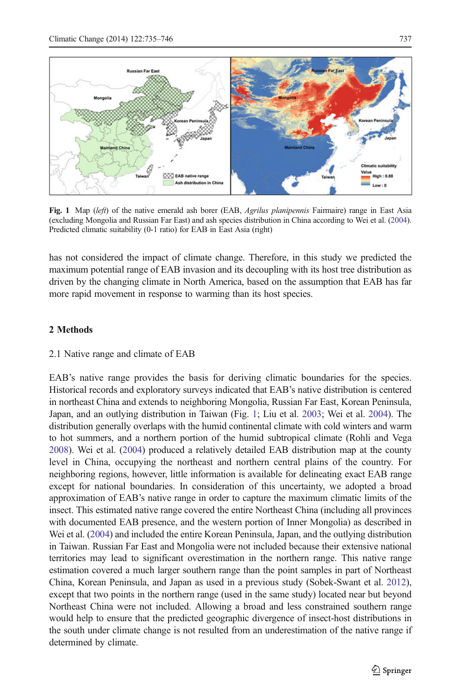<span id="page-2-0"></span>

Fig. 1 Map (left) of the native emerald ash borer (EAB, Agrilus planipennis Fairmaire) range in East Asia (excluding Mongolia and Russian Far East) and ash species distribution in China according to Wei et al. ([2004](#page-11-0)). Predicted climatic suitability (0-1 ratio) for EAB in East Asia (right)

has not considered the impact of climate change. Therefore, in this study we predicted the maximum potential range of EAB invasion and its decoupling with its host tree distribution as driven by the changing climate in North America, based on the assumption that EAB has far more rapid movement in response to warming than its host species.

## 2 Methods

## 2.1 Native range and climate of EAB

EAB's native range provides the basis for deriving climatic boundaries for the species. Historical records and exploratory surveys indicated that EAB's native distribution is centered in northeast China and extends to neighboring Mongolia, Russian Far East, Korean Peninsula, Japan, and an outlying distribution in Taiwan (Fig. 1; Liu et al. [2003;](#page-10-0) Wei et al. [2004\)](#page-11-0). The distribution generally overlaps with the humid continental climate with cold winters and warm to hot summers, and a northern portion of the humid subtropical climate (Rohli and Vega [2008](#page-11-0)). Wei et al. ([2004](#page-11-0)) produced a relatively detailed EAB distribution map at the county level in China, occupying the northeast and northern central plains of the country. For neighboring regions, however, little information is available for delineating exact EAB range except for national boundaries. In consideration of this uncertainty, we adopted a broad approximation of EAB's native range in order to capture the maximum climatic limits of the insect. This estimated native range covered the entire Northeast China (including all provinces with documented EAB presence, and the western portion of Inner Mongolia) as described in Wei et al. [\(2004\)](#page-11-0) and included the entire Korean Peninsula, Japan, and the outlying distribution in Taiwan. Russian Far East and Mongolia were not included because their extensive national territories may lead to significant overestimation in the northern range. This native range estimation covered a much larger southern range than the point samples in part of Northeast China, Korean Peninsula, and Japan as used in a previous study (Sobek-Swant et al. [2012](#page-11-0)), except that two points in the northern range (used in the same study) located near but beyond Northeast China were not included. Allowing a broad and less constrained southern range would help to ensure that the predicted geographic divergence of insect-host distributions in the south under climate change is not resulted from an underestimation of the native range if determined by climate.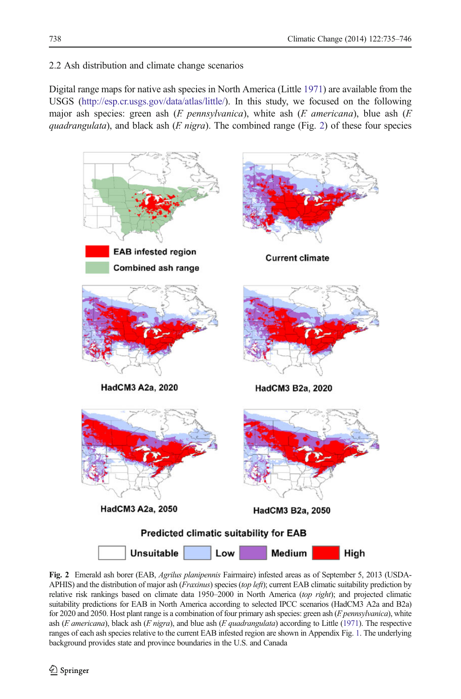### <span id="page-3-0"></span>2.2 Ash distribution and climate change scenarios

Digital range maps for native ash species in North America (Little [1971](#page-10-0)) are available from the USGS (<http://esp.cr.usgs.gov/data/atlas/little/>). In this study, we focused on the following major ash species: green ash  $(F.$  pennsylvanica), white ash  $(F.$  americana), blue ash  $(F.$ quadrangulata), and black ash ( $F. nigra$ ). The combined range (Fig. 2) of these four species



Fig. 2 Emerald ash borer (EAB, Agrilus planipennis Fairmaire) infested areas as of September 5, 2013 (USDA-APHIS) and the distribution of major ash (*Fraxinus*) species (top left); current EAB climatic suitability prediction by relative risk rankings based on climate data 1950–2000 in North America (top right); and projected climatic suitability predictions for EAB in North America according to selected IPCC scenarios (HadCM3 A2a and B2a) for 2020 and 2050. Host plant range is a combination of four primary ash species: green ash (F. pennsylvanica), white ash (F. americana), black ash (F. nigra), and blue ash (F. quadrangulata) according to Little [\(1971](#page-10-0)). The respective ranges of each ash species relative to the current EAB infested region are shown in Appendix Fig. [1.](#page-2-0) The underlying background provides state and province boundaries in the U.S. and Canada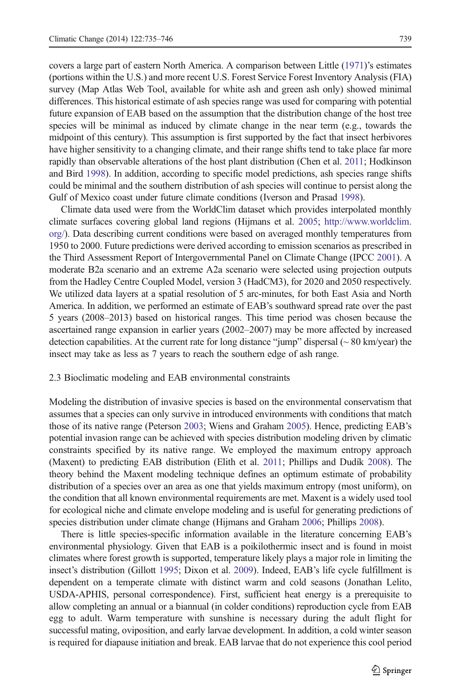covers a large part of eastern North America. A comparison between Little ([1971](#page-10-0))'s estimates (portions within the U.S.) and more recent U.S. Forest Service Forest Inventory Analysis (FIA) survey (Map Atlas Web Tool, available for white ash and green ash only) showed minimal differences. This historical estimate of ash species range was used for comparing with potential future expansion of EAB based on the assumption that the distribution change of the host tree species will be minimal as induced by climate change in the near term (e.g., towards the midpoint of this century). This assumption is first supported by the fact that insect herbivores have higher sensitivity to a changing climate, and their range shifts tend to take place far more rapidly than observable alterations of the host plant distribution (Chen et al. [2011;](#page-9-0) Hodkinson and Bird [1998\)](#page-10-0). In addition, according to specific model predictions, ash species range shifts could be minimal and the southern distribution of ash species will continue to persist along the Gulf of Mexico coast under future climate conditions (Iverson and Prasad [1998\)](#page-10-0).

Climate data used were from the WorldClim dataset which provides interpolated monthly climate surfaces covering global land regions (Hijmans et al. [2005](#page-10-0); [http://www.worldclim.](http://www.worldclim.org/) [org/](http://www.worldclim.org/)). Data describing current conditions were based on averaged monthly temperatures from 1950 to 2000. Future predictions were derived according to emission scenarios as prescribed in the Third Assessment Report of Intergovernmental Panel on Climate Change (IPCC [2001](#page-10-0)). A moderate B2a scenario and an extreme A2a scenario were selected using projection outputs from the Hadley Centre Coupled Model, version 3 (HadCM3), for 2020 and 2050 respectively. We utilized data layers at a spatial resolution of 5 arc-minutes, for both East Asia and North America. In addition, we performed an estimate of EAB's southward spread rate over the past 5 years (2008–2013) based on historical ranges. This time period was chosen because the ascertained range expansion in earlier years (2002–2007) may be more affected by increased detection capabilities. At the current rate for long distance "jump" dispersal ( $\sim 80$  km/year) the insect may take as less as 7 years to reach the southern edge of ash range.

#### 2.3 Bioclimatic modeling and EAB environmental constraints

Modeling the distribution of invasive species is based on the environmental conservatism that assumes that a species can only survive in introduced environments with conditions that match those of its native range (Peterson [2003](#page-10-0); Wiens and Graham [2005\)](#page-11-0). Hence, predicting EAB's potential invasion range can be achieved with species distribution modeling driven by climatic constraints specified by its native range. We employed the maximum entropy approach (Maxent) to predicting EAB distribution (Elith et al. [2011](#page-10-0); Phillips and Dudík [2008](#page-10-0)). The theory behind the Maxent modeling technique defines an optimum estimate of probability distribution of a species over an area as one that yields maximum entropy (most uniform), on the condition that all known environmental requirements are met. Maxent is a widely used tool for ecological niche and climate envelope modeling and is useful for generating predictions of species distribution under climate change (Hijmans and Graham [2006;](#page-10-0) Phillips [2008](#page-10-0)).

There is little species-specific information available in the literature concerning EAB's environmental physiology. Given that EAB is a poikilothermic insect and is found in moist climates where forest growth is supported, temperature likely plays a major role in limiting the insect's distribution (Gillott [1995](#page-10-0); Dixon et al. [2009\)](#page-10-0). Indeed, EAB's life cycle fulfillment is dependent on a temperate climate with distinct warm and cold seasons (Jonathan Lelito, USDA-APHIS, personal correspondence). First, sufficient heat energy is a prerequisite to allow completing an annual or a biannual (in colder conditions) reproduction cycle from EAB egg to adult. Warm temperature with sunshine is necessary during the adult flight for successful mating, oviposition, and early larvae development. In addition, a cold winter season is required for diapause initiation and break. EAB larvae that do not experience this cool period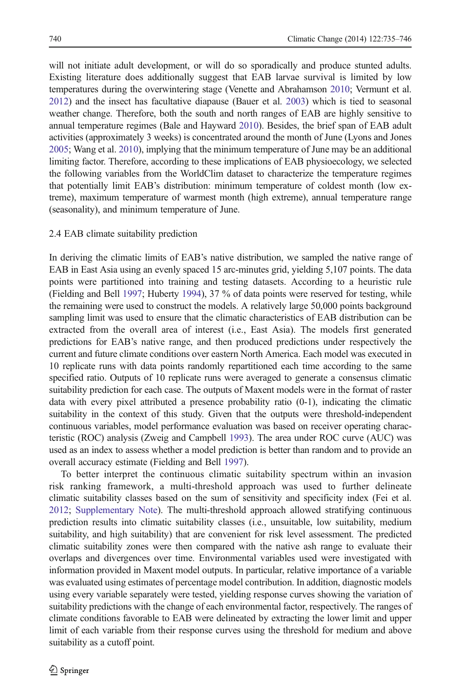will not initiate adult development, or will do so sporadically and produce stunted adults. Existing literature does additionally suggest that EAB larvae survival is limited by low temperatures during the overwintering stage (Venette and Abrahamson [2010;](#page-11-0) Vermunt et al. [2012](#page-11-0)) and the insect has facultative diapause (Bauer et al. [2003](#page-9-0)) which is tied to seasonal weather change. Therefore, both the south and north ranges of EAB are highly sensitive to annual temperature regimes (Bale and Hayward [2010\)](#page-9-0). Besides, the brief span of EAB adult activities (approximately 3 weeks) is concentrated around the month of June (Lyons and Jones [2005](#page-10-0); Wang et al. [2010\)](#page-11-0), implying that the minimum temperature of June may be an additional limiting factor. Therefore, according to these implications of EAB physioecology, we selected the following variables from the WorldClim dataset to characterize the temperature regimes that potentially limit EAB's distribution: minimum temperature of coldest month (low extreme), maximum temperature of warmest month (high extreme), annual temperature range (seasonality), and minimum temperature of June.

#### 2.4 EAB climate suitability prediction

In deriving the climatic limits of EAB's native distribution, we sampled the native range of EAB in East Asia using an evenly spaced 15 arc-minutes grid, yielding 5,107 points. The data points were partitioned into training and testing datasets. According to a heuristic rule (Fielding and Bell [1997](#page-10-0); Huberty [1994\)](#page-10-0), 37 % of data points were reserved for testing, while the remaining were used to construct the models. A relatively large 50,000 points background sampling limit was used to ensure that the climatic characteristics of EAB distribution can be extracted from the overall area of interest (i.e., East Asia). The models first generated predictions for EAB's native range, and then produced predictions under respectively the current and future climate conditions over eastern North America. Each model was executed in 10 replicate runs with data points randomly repartitioned each time according to the same specified ratio. Outputs of 10 replicate runs were averaged to generate a consensus climatic suitability prediction for each case. The outputs of Maxent models were in the format of raster data with every pixel attributed a presence probability ratio (0-1), indicating the climatic suitability in the context of this study. Given that the outputs were threshold-independent continuous variables, model performance evaluation was based on receiver operating characteristic (ROC) analysis (Zweig and Campbell [1993](#page-11-0)). The area under ROC curve (AUC) was used as an index to assess whether a model prediction is better than random and to provide an overall accuracy estimate (Fielding and Bell [1997](#page-10-0)).

To better interpret the continuous climatic suitability spectrum within an invasion risk ranking framework, a multi-threshold approach was used to further delineate climatic suitability classes based on the sum of sensitivity and specificity index (Fei et al. [2012](#page-10-0); Supplementary Note). The multi-threshold approach allowed stratifying continuous prediction results into climatic suitability classes (i.e., unsuitable, low suitability, medium suitability, and high suitability) that are convenient for risk level assessment. The predicted climatic suitability zones were then compared with the native ash range to evaluate their overlaps and divergences over time. Environmental variables used were investigated with information provided in Maxent model outputs. In particular, relative importance of a variable was evaluated using estimates of percentage model contribution. In addition, diagnostic models using every variable separately were tested, yielding response curves showing the variation of suitability predictions with the change of each environmental factor, respectively. The ranges of climate conditions favorable to EAB were delineated by extracting the lower limit and upper limit of each variable from their response curves using the threshold for medium and above suitability as a cutoff point.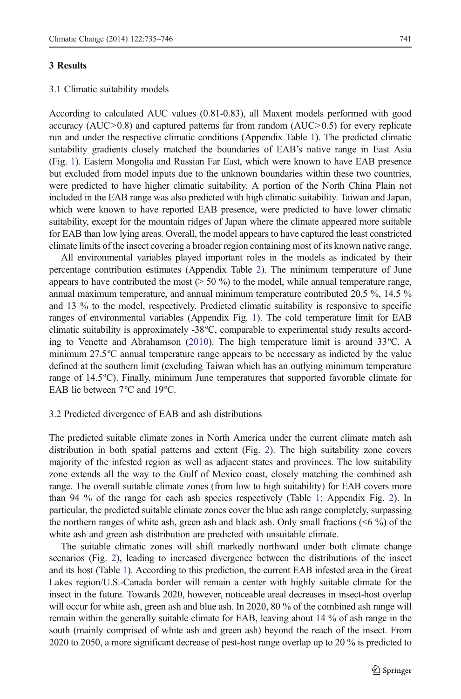#### 3 Results

#### 3.1 Climatic suitability models

According to calculated AUC values (0.81-0.83), all Maxent models performed with good accuracy  $(AUC>0.8)$  and captured patterns far from random  $(AUC>0.5)$  for every replicate run and under the respective climatic conditions (Appendix Table 1). The predicted climatic suitability gradients closely matched the boundaries of EAB's native range in East Asia (Fig. [1\)](#page-2-0). Eastern Mongolia and Russian Far East, which were known to have EAB presence but excluded from model inputs due to the unknown boundaries within these two countries, were predicted to have higher climatic suitability. A portion of the North China Plain not included in the EAB range was also predicted with high climatic suitability. Taiwan and Japan, which were known to have reported EAB presence, were predicted to have lower climatic suitability, except for the mountain ridges of Japan where the climate appeared more suitable for EAB than low lying areas. Overall, the model appears to have captured the least constricted climate limits of the insect covering a broader region containing most of its known native range.

All environmental variables played important roles in the models as indicated by their percentage contribution estimates (Appendix Table 2). The minimum temperature of June appears to have contributed the most  $(0.50\%)$  to the model, while annual temperature range, annual maximum temperature, and annual minimum temperature contributed 20.5 %, 14.5 % and 13 % to the model, respectively. Predicted climatic suitability is responsive to specific ranges of environmental variables (Appendix Fig. [1\)](#page-2-0). The cold temperature limit for EAB climatic suitability is approximately -38ºC, comparable to experimental study results accord-ing to Venette and Abrahamson [\(2010\)](#page-11-0). The high temperature limit is around  $33^{\circ}$ C. A minimum 27.5ºC annual temperature range appears to be necessary as indicted by the value defined at the southern limit (excluding Taiwan which has an outlying minimum temperature range of 14.5ºC). Finally, minimum June temperatures that supported favorable climate for EAB lie between 7ºC and 19ºC.

#### 3.2 Predicted divergence of EAB and ash distributions

The predicted suitable climate zones in North America under the current climate match ash distribution in both spatial patterns and extent (Fig. [2](#page-3-0)). The high suitability zone covers majority of the infested region as well as adjacent states and provinces. The low suitability zone extends all the way to the Gulf of Mexico coast, closely matching the combined ash range. The overall suitable climate zones (from low to high suitability) for EAB covers more than 94 % of the range for each ash species respectively (Table [1](#page-7-0); Appendix Fig. 2). In particular, the predicted suitable climate zones cover the blue ash range completely, surpassing the northern ranges of white ash, green ash and black ash. Only small fractions  $(56\%)$  of the white ash and green ash distribution are predicted with unsuitable climate.

The suitable climatic zones will shift markedly northward under both climate change scenarios (Fig. [2\)](#page-3-0), leading to increased divergence between the distributions of the insect and its host (Table [1\)](#page-7-0). According to this prediction, the current EAB infested area in the Great Lakes region/U.S.-Canada border will remain a center with highly suitable climate for the insect in the future. Towards 2020, however, noticeable areal decreases in insect-host overlap will occur for white ash, green ash and blue ash. In 2020, 80 % of the combined ash range will remain within the generally suitable climate for EAB, leaving about 14 % of ash range in the south (mainly comprised of white ash and green ash) beyond the reach of the insect. From 2020 to 2050, a more significant decrease of pest-host range overlap up to 20 % is predicted to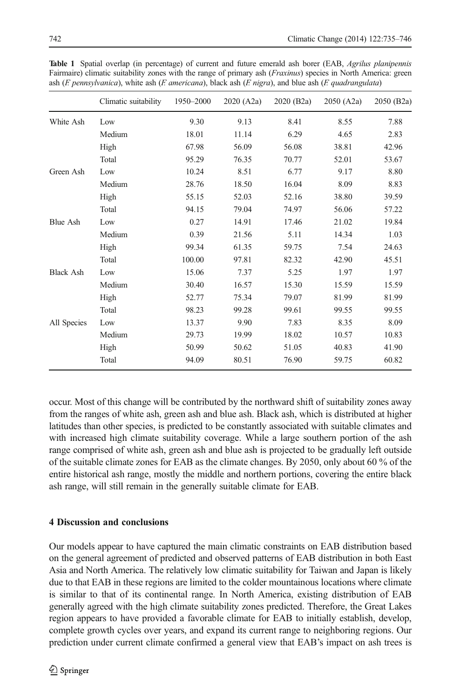|                  | Climatic suitability | 1950-2000 | 2020 (A2a) | 2020 (B2a) | 2050 (A2a) | 2050 (B2a) |
|------------------|----------------------|-----------|------------|------------|------------|------------|
| White Ash        | Low                  | 9.30      | 9.13       | 8.41       | 8.55       | 7.88       |
|                  | Medium               | 18.01     | 11.14      | 6.29       | 4.65       | 2.83       |
|                  | High                 | 67.98     | 56.09      | 56.08      | 38.81      | 42.96      |
|                  | Total                | 95.29     | 76.35      | 70.77      | 52.01      | 53.67      |
| Green Ash        | Low                  | 10.24     | 8.51       | 6.77       | 9.17       | 8.80       |
|                  | Medium               | 28.76     | 18.50      | 16.04      | 8.09       | 8.83       |
|                  | High                 | 55.15     | 52.03      | 52.16      | 38.80      | 39.59      |
|                  | Total                | 94.15     | 79.04      | 74.97      | 56.06      | 57.22      |
| <b>Blue Ash</b>  | Low                  | 0.27      | 14.91      | 17.46      | 21.02      | 19.84      |
|                  | Medium               | 0.39      | 21.56      | 5.11       | 14.34      | 1.03       |
|                  | High                 | 99.34     | 61.35      | 59.75      | 7.54       | 24.63      |
|                  | Total                | 100.00    | 97.81      | 82.32      | 42.90      | 45.51      |
| <b>Black Ash</b> | Low                  | 15.06     | 7.37       | 5.25       | 1.97       | 1.97       |
|                  | Medium               | 30.40     | 16.57      | 15.30      | 15.59      | 15.59      |
|                  | High                 | 52.77     | 75.34      | 79.07      | 81.99      | 81.99      |
|                  | Total                | 98.23     | 99.28      | 99.61      | 99.55      | 99.55      |
| All Species      | Low                  | 13.37     | 9.90       | 7.83       | 8.35       | 8.09       |
|                  | Medium               | 29.73     | 19.99      | 18.02      | 10.57      | 10.83      |
|                  | High                 | 50.99     | 50.62      | 51.05      | 40.83      | 41.90      |
|                  | Total                | 94.09     | 80.51      | 76.90      | 59.75      | 60.82      |
|                  |                      |           |            |            |            |            |

<span id="page-7-0"></span>Table 1 Spatial overlap (in percentage) of current and future emerald ash borer (EAB, Agrilus planipennis Fairmaire) climatic suitability zones with the range of primary ash (*Fraxinus*) species in North America: green ash  $(F.$  pennsylvanica), white ash  $(F.$  americana), black ash  $(F.$  nigra), and blue ash  $(F.$  quadrangulata)

occur. Most of this change will be contributed by the northward shift of suitability zones away from the ranges of white ash, green ash and blue ash. Black ash, which is distributed at higher latitudes than other species, is predicted to be constantly associated with suitable climates and with increased high climate suitability coverage. While a large southern portion of the ash range comprised of white ash, green ash and blue ash is projected to be gradually left outside of the suitable climate zones for EAB as the climate changes. By 2050, only about 60 % of the entire historical ash range, mostly the middle and northern portions, covering the entire black ash range, will still remain in the generally suitable climate for EAB.

## 4 Discussion and conclusions

Our models appear to have captured the main climatic constraints on EAB distribution based on the general agreement of predicted and observed patterns of EAB distribution in both East Asia and North America. The relatively low climatic suitability for Taiwan and Japan is likely due to that EAB in these regions are limited to the colder mountainous locations where climate is similar to that of its continental range. In North America, existing distribution of EAB generally agreed with the high climate suitability zones predicted. Therefore, the Great Lakes region appears to have provided a favorable climate for EAB to initially establish, develop, complete growth cycles over years, and expand its current range to neighboring regions. Our prediction under current climate confirmed a general view that EAB's impact on ash trees is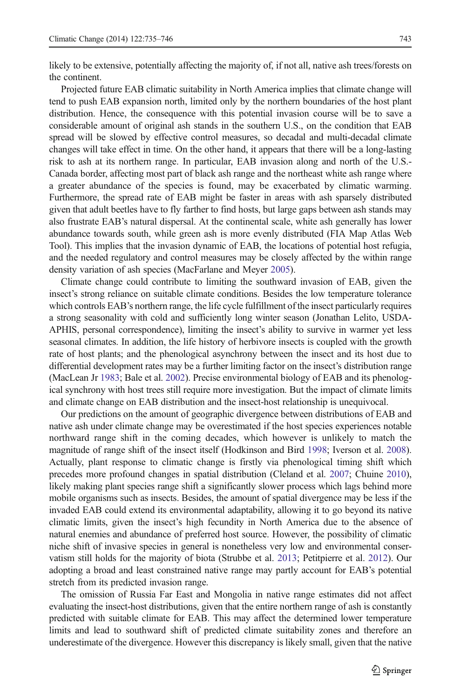likely to be extensive, potentially affecting the majority of, if not all, native ash trees/forests on the continent.

Projected future EAB climatic suitability in North America implies that climate change will tend to push EAB expansion north, limited only by the northern boundaries of the host plant distribution. Hence, the consequence with this potential invasion course will be to save a considerable amount of original ash stands in the southern U.S., on the condition that EAB spread will be slowed by effective control measures, so decadal and multi-decadal climate changes will take effect in time. On the other hand, it appears that there will be a long-lasting risk to ash at its northern range. In particular, EAB invasion along and north of the U.S.- Canada border, affecting most part of black ash range and the northeast white ash range where a greater abundance of the species is found, may be exacerbated by climatic warming. Furthermore, the spread rate of EAB might be faster in areas with ash sparsely distributed given that adult beetles have to fly farther to find hosts, but large gaps between ash stands may also frustrate EAB's natural dispersal. At the continental scale, white ash generally has lower abundance towards south, while green ash is more evenly distributed (FIA Map Atlas Web Tool). This implies that the invasion dynamic of EAB, the locations of potential host refugia, and the needed regulatory and control measures may be closely affected by the within range density variation of ash species (MacFarlane and Meyer [2005\)](#page-10-0).

Climate change could contribute to limiting the southward invasion of EAB, given the insect's strong reliance on suitable climate conditions. Besides the low temperature tolerance which controls EAB's northern range, the life cycle fulfillment of the insect particularly requires a strong seasonality with cold and sufficiently long winter season (Jonathan Lelito, USDA-APHIS, personal correspondence), limiting the insect's ability to survive in warmer yet less seasonal climates. In addition, the life history of herbivore insects is coupled with the growth rate of host plants; and the phenological asynchrony between the insect and its host due to differential development rates may be a further limiting factor on the insect's distribution range (MacLean Jr [1983](#page-10-0); Bale et al. [2002](#page-9-0)). Precise environmental biology of EAB and its phenological synchrony with host trees still require more investigation. But the impact of climate limits and climate change on EAB distribution and the insect-host relationship is unequivocal.

Our predictions on the amount of geographic divergence between distributions of EAB and native ash under climate change may be overestimated if the host species experiences notable northward range shift in the coming decades, which however is unlikely to match the magnitude of range shift of the insect itself (Hodkinson and Bird [1998;](#page-10-0) Iverson et al. [2008](#page-10-0)). Actually, plant response to climatic change is firstly via phenological timing shift which precedes more profound changes in spatial distribution (Cleland et al. [2007;](#page-10-0) Chuine [2010](#page-10-0)), likely making plant species range shift a significantly slower process which lags behind more mobile organisms such as insects. Besides, the amount of spatial divergence may be less if the invaded EAB could extend its environmental adaptability, allowing it to go beyond its native climatic limits, given the insect's high fecundity in North America due to the absence of natural enemies and abundance of preferred host source. However, the possibility of climatic niche shift of invasive species in general is nonetheless very low and environmental conservatism still holds for the majority of biota (Strubbe et al. [2013](#page-11-0); Petitpierre et al. [2012\)](#page-10-0). Our adopting a broad and least constrained native range may partly account for EAB's potential stretch from its predicted invasion range.

The omission of Russia Far East and Mongolia in native range estimates did not affect evaluating the insect-host distributions, given that the entire northern range of ash is constantly predicted with suitable climate for EAB. This may affect the determined lower temperature limits and lead to southward shift of predicted climate suitability zones and therefore an underestimate of the divergence. However this discrepancy is likely small, given that the native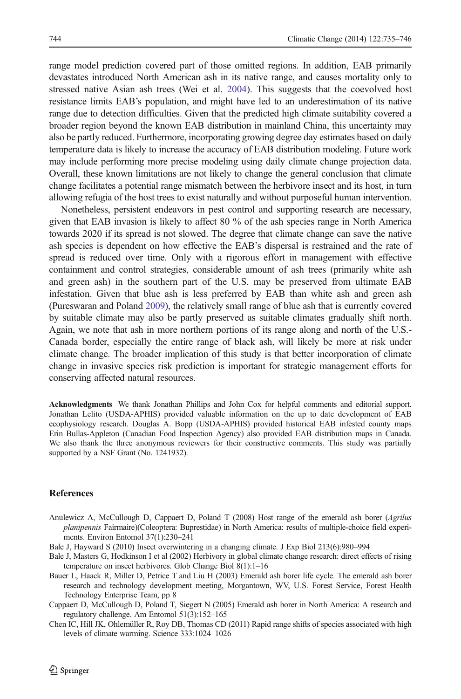<span id="page-9-0"></span>range model prediction covered part of those omitted regions. In addition, EAB primarily devastates introduced North American ash in its native range, and causes mortality only to stressed native Asian ash trees (Wei et al. [2004](#page-11-0)). This suggests that the coevolved host resistance limits EAB's population, and might have led to an underestimation of its native range due to detection difficulties. Given that the predicted high climate suitability covered a broader region beyond the known EAB distribution in mainland China, this uncertainty may also be partly reduced. Furthermore, incorporating growing degree day estimates based on daily temperature data is likely to increase the accuracy of EAB distribution modeling. Future work may include performing more precise modeling using daily climate change projection data. Overall, these known limitations are not likely to change the general conclusion that climate change facilitates a potential range mismatch between the herbivore insect and its host, in turn allowing refugia of the host trees to exist naturally and without purposeful human intervention.

Nonetheless, persistent endeavors in pest control and supporting research are necessary, given that EAB invasion is likely to affect 80 % of the ash species range in North America towards 2020 if its spread is not slowed. The degree that climate change can save the native ash species is dependent on how effective the EAB's dispersal is restrained and the rate of spread is reduced over time. Only with a rigorous effort in management with effective containment and control strategies, considerable amount of ash trees (primarily white ash and green ash) in the southern part of the U.S. may be preserved from ultimate EAB infestation. Given that blue ash is less preferred by EAB than white ash and green ash (Pureswaran and Poland [2009](#page-11-0)), the relatively small range of blue ash that is currently covered by suitable climate may also be partly preserved as suitable climates gradually shift north. Again, we note that ash in more northern portions of its range along and north of the U.S.- Canada border, especially the entire range of black ash, will likely be more at risk under climate change. The broader implication of this study is that better incorporation of climate change in invasive species risk prediction is important for strategic management efforts for conserving affected natural resources.

Acknowledgments We thank Jonathan Phillips and John Cox for helpful comments and editorial support. Jonathan Lelito (USDA-APHIS) provided valuable information on the up to date development of EAB ecophysiology research. Douglas A. Bopp (USDA-APHIS) provided historical EAB infested county maps Erin Bullas-Appleton (Canadian Food Inspection Agency) also provided EAB distribution maps in Canada. We also thank the three anonymous reviewers for their constructive comments. This study was partially supported by a NSF Grant (No. 1241932).

#### **References**

Anulewicz A, McCullough D, Cappaert D, Poland T (2008) Host range of the emerald ash borer (Agrilus planipennis Fairmaire)(Coleoptera: Buprestidae) in North America: results of multiple-choice field experiments. Environ Entomol 37(1):230–241

Bale J, Hayward S (2010) Insect overwintering in a changing climate. J Exp Biol 213(6):980–994

- Bale J, Masters G, Hodkinson I et al (2002) Herbivory in global climate change research: direct effects of rising temperature on insect herbivores. Glob Change Biol 8(1):1–16
- Bauer L, Haack R, Miller D, Petrice T and Liu H (2003) Emerald ash borer life cycle. The emerald ash borer research and technology development meeting, Morgantown, WV, U.S. Forest Service, Forest Health Technology Enterprise Team, pp 8
- Cappaert D, McCullough D, Poland T, Siegert N (2005) Emerald ash borer in North America: A research and regulatory challenge. Am Entomol 51(3):152–165
- Chen IC, Hill JK, Ohlemüller R, Roy DB, Thomas CD (2011) Rapid range shifts of species associated with high levels of climate warming. Science 333:1024–1026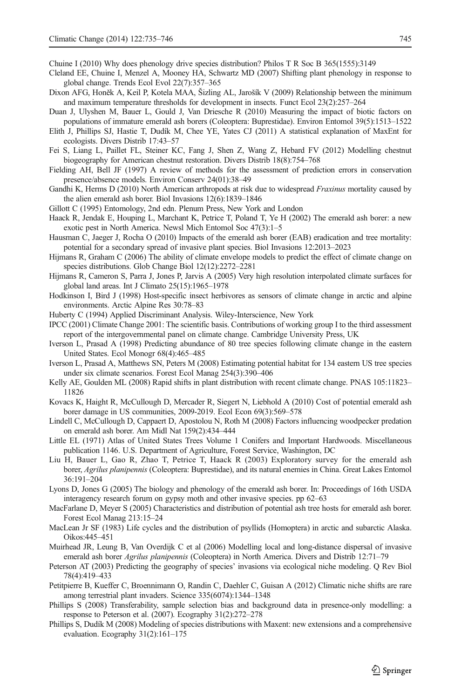<span id="page-10-0"></span>Chuine I (2010) Why does phenology drive species distribution? Philos T R Soc B 365(1555):3149

- Cleland EE, Chuine I, Menzel A, Mooney HA, Schwartz MD (2007) Shifting plant phenology in response to global change. Trends Ecol Evol 22(7):357–365
- Dixon AFG, Honěk A, Keil P, Kotela MAA, Šizling AL, Jarošík V (2009) Relationship between the minimum and maximum temperature thresholds for development in insects. Funct Ecol 23(2):257–264
- Duan J, Ulyshen M, Bauer L, Gould J, Van Driesche R (2010) Measuring the impact of biotic factors on populations of immature emerald ash borers (Coleoptera: Buprestidae). Environ Entomol 39(5):1513–1522
- Elith J, Phillips SJ, Hastie T, Dudík M, Chee YE, Yates CJ (2011) A statistical explanation of MaxEnt for ecologists. Divers Distrib 17:43–57
- Fei S, Liang L, Paillet FL, Steiner KC, Fang J, Shen Z, Wang Z, Hebard FV (2012) Modelling chestnut biogeography for American chestnut restoration. Divers Distrib 18(8):754–768
- Fielding AH, Bell JF (1997) A review of methods for the assessment of prediction errors in conservation presence/absence models. Environ Conserv 24(01):38–49
- Gandhi K, Herms D (2010) North American arthropods at risk due to widespread *Fraxinus* mortality caused by the alien emerald ash borer. Biol Invasions 12(6):1839–1846
- Gillott C (1995) Entomology, 2nd edn. Plenum Press, New York and London
- Haack R, Jendak E, Houping L, Marchant K, Petrice T, Poland T, Ye H (2002) The emerald ash borer: a new exotic pest in North America. Newsl Mich Entomol Soc 47(3):1–5
- Hausman C, Jaeger J, Rocha O (2010) Impacts of the emerald ash borer (EAB) eradication and tree mortality: potential for a secondary spread of invasive plant species. Biol Invasions 12:2013–2023
- Hijmans R, Graham C (2006) The ability of climate envelope models to predict the effect of climate change on species distributions. Glob Change Biol 12(12):2272–2281
- Hijmans R, Cameron S, Parra J, Jones P, Jarvis A (2005) Very high resolution interpolated climate surfaces for global land areas. Int J Climato 25(15):1965–1978
- Hodkinson I, Bird J (1998) Host-specific insect herbivores as sensors of climate change in arctic and alpine environments. Arctic Alpine Res 30:78–83
- Huberty C (1994) Applied Discriminant Analysis. Wiley-Interscience, New York
- IPCC (2001) Climate Change 2001: The scientific basis. Contributions of working group I to the third assessment report of the intergovernmental panel on climate change. Cambridge University Press, UK
- Iverson L, Prasad A (1998) Predicting abundance of 80 tree species following climate change in the eastern United States. Ecol Monogr 68(4):465–485
- Iverson L, Prasad A, Matthews SN, Peters M (2008) Estimating potential habitat for 134 eastern US tree species under six climate scenarios. Forest Ecol Manag 254(3):390–406
- Kelly AE, Goulden ML (2008) Rapid shifts in plant distribution with recent climate change. PNAS 105:11823-11826
- Kovacs K, Haight R, McCullough D, Mercader R, Siegert N, Liebhold A (2010) Cost of potential emerald ash borer damage in US communities, 2009-2019. Ecol Econ 69(3):569–578
- Lindell C, McCullough D, Cappaert D, Apostolou N, Roth M (2008) Factors influencing woodpecker predation on emerald ash borer. Am Midl Nat 159(2):434–444
- Little EL (1971) Atlas of United States Trees Volume 1 Conifers and Important Hardwoods. Miscellaneous publication 1146. U.S. Department of Agriculture, Forest Service, Washington, DC
- Liu H, Bauer L, Gao R, Zhao T, Petrice T, Haack R (2003) Exploratory survey for the emerald ash borer, Agrilus planipennis (Coleoptera: Buprestidae), and its natural enemies in China. Great Lakes Entomol 36:191–204
- Lyons D, Jones G (2005) The biology and phenology of the emerald ash borer. In: Proceedings of 16th USDA interagency research forum on gypsy moth and other invasive species. pp 62–63
- MacFarlane D, Meyer S (2005) Characteristics and distribution of potential ash tree hosts for emerald ash borer. Forest Ecol Manag 213:15–24
- MacLean Jr SF (1983) Life cycles and the distribution of psyllids (Homoptera) in arctic and subarctic Alaska. Oikos:445–451
- Muirhead JR, Leung B, Van Overdijk C et al (2006) Modelling local and long-distance dispersal of invasive emerald ash borer Agrilus planipennis (Coleoptera) in North America. Divers and Distrib 12:71–79
- Peterson AT (2003) Predicting the geography of species' invasions via ecological niche modeling. Q Rev Biol 78(4):419–433
- Petitpierre B, Kueffer C, Broennimann O, Randin C, Daehler C, Guisan A (2012) Climatic niche shifts are rare among terrestrial plant invaders. Science 335(6074):1344–1348
- Phillips S (2008) Transferability, sample selection bias and background data in presence-only modelling: a response to Peterson et al. (2007). Ecography 31(2):272–278
- Phillips S, Dudík M (2008) Modeling of species distributions with Maxent: new extensions and a comprehensive evaluation. Ecography 31(2):161–175